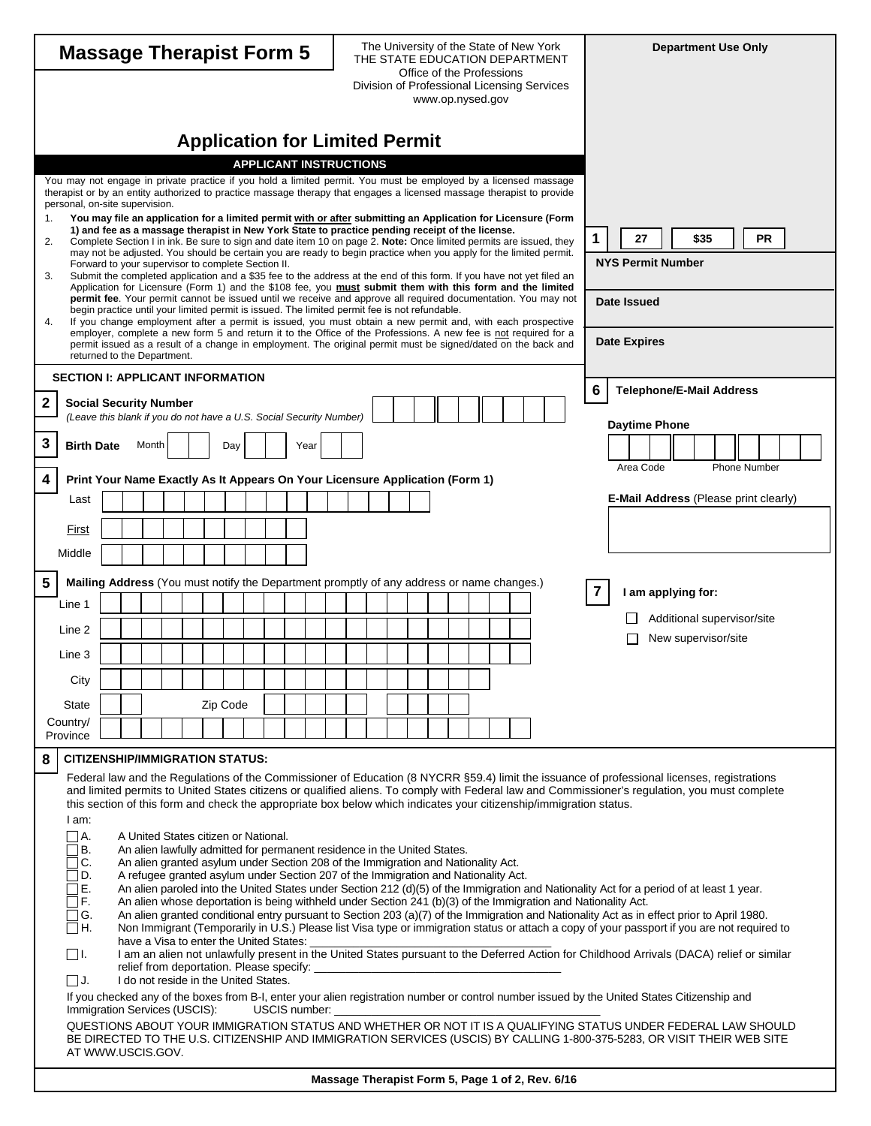| <b>Massage Therapist Form 5</b> |                                                                                                                                                                                                                                                                                                                                                                                                                                                            |                                                                                                      |  |  |                                                                                                                                                               |  |  |  | The University of the State of New York<br>THE STATE EDUCATION DEPARTMENT |  |  |  |      |                         |                          |                     |  |  |  | <b>Department Use Only</b> |                                               |  |  |  |                                                                                                                                                                                                                                          |  |   |                                                                                                                                                                                                                                                             |              |
|---------------------------------|------------------------------------------------------------------------------------------------------------------------------------------------------------------------------------------------------------------------------------------------------------------------------------------------------------------------------------------------------------------------------------------------------------------------------------------------------------|------------------------------------------------------------------------------------------------------|--|--|---------------------------------------------------------------------------------------------------------------------------------------------------------------|--|--|--|---------------------------------------------------------------------------|--|--|--|------|-------------------------|--------------------------|---------------------|--|--|--|----------------------------|-----------------------------------------------|--|--|--|------------------------------------------------------------------------------------------------------------------------------------------------------------------------------------------------------------------------------------------|--|---|-------------------------------------------------------------------------------------------------------------------------------------------------------------------------------------------------------------------------------------------------------------|--------------|
|                                 |                                                                                                                                                                                                                                                                                                                                                                                                                                                            |                                                                                                      |  |  |                                                                                                                                                               |  |  |  |                                                                           |  |  |  |      |                         |                          |                     |  |  |  |                            | Office of the Professions<br>www.op.nysed.gov |  |  |  | Division of Professional Licensing Services                                                                                                                                                                                              |  |   |                                                                                                                                                                                                                                                             |              |
|                                 |                                                                                                                                                                                                                                                                                                                                                                                                                                                            |                                                                                                      |  |  |                                                                                                                                                               |  |  |  |                                                                           |  |  |  |      |                         |                          |                     |  |  |  |                            |                                               |  |  |  |                                                                                                                                                                                                                                          |  |   |                                                                                                                                                                                                                                                             |              |
|                                 | <b>Application for Limited Permit</b><br><b>APPLICANT INSTRUCTIONS</b>                                                                                                                                                                                                                                                                                                                                                                                     |                                                                                                      |  |  |                                                                                                                                                               |  |  |  |                                                                           |  |  |  |      |                         |                          |                     |  |  |  |                            |                                               |  |  |  |                                                                                                                                                                                                                                          |  |   |                                                                                                                                                                                                                                                             |              |
|                                 |                                                                                                                                                                                                                                                                                                                                                                                                                                                            | personal, on-site supervision.                                                                       |  |  |                                                                                                                                                               |  |  |  |                                                                           |  |  |  |      |                         |                          |                     |  |  |  |                            |                                               |  |  |  | You may not engage in private practice if you hold a limited permit. You must be employed by a licensed massage<br>therapist or by an entity authorized to practice massage therapy that engages a licensed massage therapist to provide |  |   |                                                                                                                                                                                                                                                             |              |
| 1.<br>2.                        | You may file an application for a limited permit with or after submitting an Application for Licensure (Form<br>1) and fee as a massage therapist in New York State to practice pending receipt of the license.<br>Complete Section I in ink. Be sure to sign and date item 10 on page 2. Note: Once limited permits are issued, they<br>may not be adjusted. You should be certain you are ready to begin practice when you apply for the limited permit. |                                                                                                      |  |  |                                                                                                                                                               |  |  |  |                                                                           |  |  |  |      | <b>PR</b><br>27<br>\$35 |                          |                     |  |  |  |                            |                                               |  |  |  |                                                                                                                                                                                                                                          |  |   |                                                                                                                                                                                                                                                             |              |
| 3.                              | Forward to your supervisor to complete Section II.<br>Submit the completed application and a \$35 fee to the address at the end of this form. If you have not yet filed an                                                                                                                                                                                                                                                                                 |                                                                                                      |  |  |                                                                                                                                                               |  |  |  |                                                                           |  |  |  |      |                         | <b>NYS Permit Number</b> |                     |  |  |  |                            |                                               |  |  |  |                                                                                                                                                                                                                                          |  |   |                                                                                                                                                                                                                                                             |              |
|                                 | Application for Licensure (Form 1) and the \$108 fee, you must submit them with this form and the limited<br>permit fee. Your permit cannot be issued until we receive and approve all required documentation. You may not<br>begin practice until your limited permit is issued. The limited permit fee is not refundable.                                                                                                                                |                                                                                                      |  |  |                                                                                                                                                               |  |  |  |                                                                           |  |  |  |      | Date Issued             |                          |                     |  |  |  |                            |                                               |  |  |  |                                                                                                                                                                                                                                          |  |   |                                                                                                                                                                                                                                                             |              |
| 4.                              | If you change employment after a permit is issued, you must obtain a new permit and, with each prospective<br>employer, complete a new form 5 and return it to the Office of the Professions. A new fee is not required for a                                                                                                                                                                                                                              |                                                                                                      |  |  |                                                                                                                                                               |  |  |  |                                                                           |  |  |  |      |                         |                          |                     |  |  |  |                            |                                               |  |  |  |                                                                                                                                                                                                                                          |  |   |                                                                                                                                                                                                                                                             |              |
|                                 | permit issued as a result of a change in employment. The original permit must be signed/dated on the back and<br>returned to the Department.                                                                                                                                                                                                                                                                                                               |                                                                                                      |  |  |                                                                                                                                                               |  |  |  |                                                                           |  |  |  |      |                         |                          | <b>Date Expires</b> |  |  |  |                            |                                               |  |  |  |                                                                                                                                                                                                                                          |  |   |                                                                                                                                                                                                                                                             |              |
|                                 | <b>SECTION I: APPLICANT INFORMATION</b><br>6<br><b>Telephone/E-Mail Address</b>                                                                                                                                                                                                                                                                                                                                                                            |                                                                                                      |  |  |                                                                                                                                                               |  |  |  |                                                                           |  |  |  |      |                         |                          |                     |  |  |  |                            |                                               |  |  |  |                                                                                                                                                                                                                                          |  |   |                                                                                                                                                                                                                                                             |              |
| $\mathbf 2$                     |                                                                                                                                                                                                                                                                                                                                                                                                                                                            | <b>Social Security Number</b><br>(Leave this blank if you do not have a U.S. Social Security Number) |  |  |                                                                                                                                                               |  |  |  |                                                                           |  |  |  |      |                         |                          |                     |  |  |  |                            |                                               |  |  |  |                                                                                                                                                                                                                                          |  |   | <b>Daytime Phone</b>                                                                                                                                                                                                                                        |              |
| $\mathbf 3$                     |                                                                                                                                                                                                                                                                                                                                                                                                                                                            | <b>Birth Date</b>                                                                                    |  |  | Month                                                                                                                                                         |  |  |  | Day                                                                       |  |  |  | Year |                         |                          |                     |  |  |  |                            |                                               |  |  |  |                                                                                                                                                                                                                                          |  |   |                                                                                                                                                                                                                                                             |              |
| $\boldsymbol{4}$                |                                                                                                                                                                                                                                                                                                                                                                                                                                                            | Print Your Name Exactly As It Appears On Your Licensure Application (Form 1)                         |  |  |                                                                                                                                                               |  |  |  |                                                                           |  |  |  |      |                         |                          |                     |  |  |  |                            |                                               |  |  |  |                                                                                                                                                                                                                                          |  |   | Area Code                                                                                                                                                                                                                                                   | Phone Number |
|                                 |                                                                                                                                                                                                                                                                                                                                                                                                                                                            | Last                                                                                                 |  |  |                                                                                                                                                               |  |  |  |                                                                           |  |  |  |      |                         |                          |                     |  |  |  |                            |                                               |  |  |  |                                                                                                                                                                                                                                          |  |   | <b>E-Mail Address (Please print clearly)</b>                                                                                                                                                                                                                |              |
|                                 |                                                                                                                                                                                                                                                                                                                                                                                                                                                            | First                                                                                                |  |  |                                                                                                                                                               |  |  |  |                                                                           |  |  |  |      |                         |                          |                     |  |  |  |                            |                                               |  |  |  |                                                                                                                                                                                                                                          |  |   |                                                                                                                                                                                                                                                             |              |
|                                 |                                                                                                                                                                                                                                                                                                                                                                                                                                                            | Middle                                                                                               |  |  |                                                                                                                                                               |  |  |  |                                                                           |  |  |  |      |                         |                          |                     |  |  |  |                            |                                               |  |  |  |                                                                                                                                                                                                                                          |  |   |                                                                                                                                                                                                                                                             |              |
| 5                               |                                                                                                                                                                                                                                                                                                                                                                                                                                                            | Mailing Address (You must notify the Department promptly of any address or name changes.)            |  |  |                                                                                                                                                               |  |  |  |                                                                           |  |  |  |      |                         |                          |                     |  |  |  |                            |                                               |  |  |  |                                                                                                                                                                                                                                          |  | 7 | I am applying for:                                                                                                                                                                                                                                          |              |
|                                 |                                                                                                                                                                                                                                                                                                                                                                                                                                                            | Line 1                                                                                               |  |  |                                                                                                                                                               |  |  |  |                                                                           |  |  |  |      |                         |                          |                     |  |  |  |                            |                                               |  |  |  |                                                                                                                                                                                                                                          |  |   | Additional supervisor/site                                                                                                                                                                                                                                  |              |
|                                 |                                                                                                                                                                                                                                                                                                                                                                                                                                                            | Line 2                                                                                               |  |  |                                                                                                                                                               |  |  |  |                                                                           |  |  |  |      |                         |                          |                     |  |  |  |                            |                                               |  |  |  |                                                                                                                                                                                                                                          |  |   | New supervisor/site                                                                                                                                                                                                                                         |              |
|                                 |                                                                                                                                                                                                                                                                                                                                                                                                                                                            | Line 3                                                                                               |  |  |                                                                                                                                                               |  |  |  |                                                                           |  |  |  |      |                         |                          |                     |  |  |  |                            |                                               |  |  |  |                                                                                                                                                                                                                                          |  |   |                                                                                                                                                                                                                                                             |              |
|                                 |                                                                                                                                                                                                                                                                                                                                                                                                                                                            | City<br><b>State</b>                                                                                 |  |  |                                                                                                                                                               |  |  |  | Zip Code                                                                  |  |  |  |      |                         |                          |                     |  |  |  |                            |                                               |  |  |  |                                                                                                                                                                                                                                          |  |   |                                                                                                                                                                                                                                                             |              |
|                                 |                                                                                                                                                                                                                                                                                                                                                                                                                                                            | Country/<br>Province                                                                                 |  |  |                                                                                                                                                               |  |  |  |                                                                           |  |  |  |      |                         |                          |                     |  |  |  |                            |                                               |  |  |  |                                                                                                                                                                                                                                          |  |   |                                                                                                                                                                                                                                                             |              |
| 8                               |                                                                                                                                                                                                                                                                                                                                                                                                                                                            | <b>CITIZENSHIP/IMMIGRATION STATUS:</b>                                                               |  |  |                                                                                                                                                               |  |  |  |                                                                           |  |  |  |      |                         |                          |                     |  |  |  |                            |                                               |  |  |  |                                                                                                                                                                                                                                          |  |   |                                                                                                                                                                                                                                                             |              |
|                                 |                                                                                                                                                                                                                                                                                                                                                                                                                                                            |                                                                                                      |  |  |                                                                                                                                                               |  |  |  |                                                                           |  |  |  |      |                         |                          |                     |  |  |  |                            |                                               |  |  |  |                                                                                                                                                                                                                                          |  |   | Federal law and the Regulations of the Commissioner of Education (8 NYCRR §59.4) limit the issuance of professional licenses, registrations                                                                                                                 |              |
|                                 |                                                                                                                                                                                                                                                                                                                                                                                                                                                            |                                                                                                      |  |  |                                                                                                                                                               |  |  |  |                                                                           |  |  |  |      |                         |                          |                     |  |  |  |                            |                                               |  |  |  | this section of this form and check the appropriate box below which indicates your citizenship/immigration status.                                                                                                                       |  |   | and limited permits to United States citizens or qualified aliens. To comply with Federal law and Commissioner's regulation, you must complete                                                                                                              |              |
|                                 |                                                                                                                                                                                                                                                                                                                                                                                                                                                            | I am:<br>$\Box$ A.                                                                                   |  |  | A United States citizen or National.                                                                                                                          |  |  |  |                                                                           |  |  |  |      |                         |                          |                     |  |  |  |                            |                                               |  |  |  |                                                                                                                                                                                                                                          |  |   |                                                                                                                                                                                                                                                             |              |
|                                 |                                                                                                                                                                                                                                                                                                                                                                                                                                                            | ⊣в.<br>ヿC.                                                                                           |  |  | An alien lawfully admitted for permanent residence in the United States.<br>An alien granted asylum under Section 208 of the Immigration and Nationality Act. |  |  |  |                                                                           |  |  |  |      |                         |                          |                     |  |  |  |                            |                                               |  |  |  |                                                                                                                                                                                                                                          |  |   |                                                                                                                                                                                                                                                             |              |
|                                 |                                                                                                                                                                                                                                                                                                                                                                                                                                                            | ∏D.<br>ПE.                                                                                           |  |  | A refugee granted asylum under Section 207 of the Immigration and Nationality Act.                                                                            |  |  |  |                                                                           |  |  |  |      |                         |                          |                     |  |  |  |                            |                                               |  |  |  |                                                                                                                                                                                                                                          |  |   | An alien paroled into the United States under Section 212 (d)(5) of the Immigration and Nationality Act for a period of at least 1 year.                                                                                                                    |              |
|                                 |                                                                                                                                                                                                                                                                                                                                                                                                                                                            | ٦F.<br>ヿG.                                                                                           |  |  |                                                                                                                                                               |  |  |  |                                                                           |  |  |  |      |                         |                          |                     |  |  |  |                            |                                               |  |  |  |                                                                                                                                                                                                                                          |  |   | An alien whose deportation is being withheld under Section 241 (b)(3) of the Immigration and Nationality Act.<br>An alien granted conditional entry pursuant to Section 203 (a)(7) of the Immigration and Nationality Act as in effect prior to April 1980. |              |
|                                 | ∏Н.<br>Non Immigrant (Temporarily in U.S.) Please list Visa type or immigration status or attach a copy of your passport if you are not required to<br>have a Visa to enter the United States:<br>I am an alien not unlawfully present in the United States pursuant to the Deferred Action for Childhood Arrivals (DACA) relief or similar                                                                                                                |                                                                                                      |  |  |                                                                                                                                                               |  |  |  |                                                                           |  |  |  |      |                         |                          |                     |  |  |  |                            |                                               |  |  |  |                                                                                                                                                                                                                                          |  |   |                                                                                                                                                                                                                                                             |              |
|                                 | $\Box$ l.<br>I do not reside in the United States.<br>$\Box$ J.                                                                                                                                                                                                                                                                                                                                                                                            |                                                                                                      |  |  |                                                                                                                                                               |  |  |  |                                                                           |  |  |  |      |                         |                          |                     |  |  |  |                            |                                               |  |  |  |                                                                                                                                                                                                                                          |  |   |                                                                                                                                                                                                                                                             |              |
|                                 | If you checked any of the boxes from B-I, enter your alien registration number or control number issued by the United States Citizenship and<br>Immigration Services (USCIS):<br>USCIS number: ________________                                                                                                                                                                                                                                            |                                                                                                      |  |  |                                                                                                                                                               |  |  |  |                                                                           |  |  |  |      |                         |                          |                     |  |  |  |                            |                                               |  |  |  |                                                                                                                                                                                                                                          |  |   |                                                                                                                                                                                                                                                             |              |
|                                 |                                                                                                                                                                                                                                                                                                                                                                                                                                                            |                                                                                                      |  |  |                                                                                                                                                               |  |  |  |                                                                           |  |  |  |      |                         |                          |                     |  |  |  |                            |                                               |  |  |  |                                                                                                                                                                                                                                          |  |   | QUESTIONS ABOUT YOUR IMMIGRATION STATUS AND WHETHER OR NOT IT IS A QUALIFYING STATUS UNDER FEDERAL LAW SHOULD                                                                                                                                               |              |
|                                 |                                                                                                                                                                                                                                                                                                                                                                                                                                                            | AT WWW.USCIS.GOV.                                                                                    |  |  |                                                                                                                                                               |  |  |  |                                                                           |  |  |  |      |                         |                          |                     |  |  |  |                            |                                               |  |  |  |                                                                                                                                                                                                                                          |  |   | BE DIRECTED TO THE U.S. CITIZENSHIP AND IMMIGRATION SERVICES (USCIS) BY CALLING 1-800-375-5283, OR VISIT THEIR WEB SITE                                                                                                                                     |              |